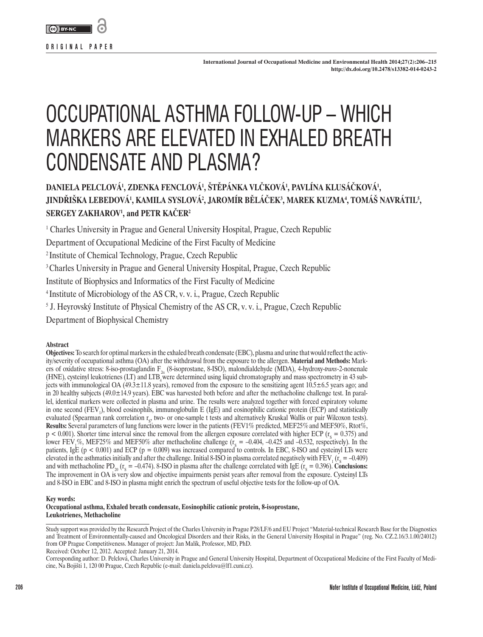

**International Journal of Occupational Medicine and Environmental Health 2014;27(2):206–215 http://dx.doi.org/10.2478/s13382-014-0243-2** 

# OCCUPATIONAL ASTHMA FOLLOW-UP – WHICH MARKERS ARE ELEVATED IN EXHALED BREATH CONDENSATE AND PLASMA?

# DANIELA PELCLOVA<sup>1</sup>, ZDENKA FENCLOVA<sup>1</sup>, STEPANKA VLCKOVA<sup>1</sup>, PAVLINA KLUSACKOVA<sup>1</sup>, <code>JINDRISKA LEBEDOVA<sup>1</sup>, KAMILA SYSLOVA<sup>2</sup>, JAROMIR BELACEK<sup>3</sup>, MAREK KUZMA<sup>4</sup>, TOMAS NAVRATIL<sup>5</sup>,</code> **SERGEY ZAKHAROV1 , and PETR KAČER<sup>2</sup>**

<sup>1</sup> Charles University in Prague and General University Hospital, Prague, Czech Republic

Department of Occupational Medicine of the First Faculty of Medicine

2 Institute of Chemical Technology, Prague, Czech Republic

<sup>3</sup> Charles University in Prague and General University Hospital, Prague, Czech Republic

Institute of Biophysics and Informatics of the First Faculty of Medicine

4 Institute of Microbiology of the AS CR, v. v. i., Prague, Czech Republic

5 J. Heyrovský Institute of Physical Chemistry of the AS CR, v. v. i., Prague, Czech Republic

Department of Biophysical Chemistry

#### **Abstract**

**Objectives:** To search for optimal markers in the exhaled breath condensate (EBC), plasma and urine that would reflect the activity/severity of occupational asthma (OA) after the withdrawal from the exposure to the allergen. **Material and Methods:** Markers of oxidative stress: 8-iso-prostaglandin F2α (8-isoprostane, 8-ISO), malondialdehyde (MDA), 4-hydroxy-*trans*-2-nonenale (HNE), cysteinyl leukotrienes (LT) and  $LTB_4$  were determined using liquid chromatography and mass spectrometry in 43 subjects with immunological OA ( $49.3 \pm 11.8$  years), removed from the exposure to the sensitizing agent  $10.5 \pm 6.5$  years ago; and in 20 healthy subjects (49.0±14.9 years). EBC was harvested both before and after the methacholine challenge test. In parallel, identical markers were collected in plasma and urine. The results were analyzed together with forced expiratory volume in one second  $(FEV_1)$ , blood eosinophils, immunoglobulin E (IgE) and eosinophilic cationic protein (ECP) and statistically evaluated (Spearman rank correlation r<sub>s</sub>, two- or one-sample t tests and alternatively Kruskal Wallis or pair Wilcoxon tests). **Results:** Several parameters of lung functions were lower in the patients (FEV1% predicted, MEF25%and MEF50%, Rtot%,  $p < 0.001$ ). Shorter time interval since the removal from the allergen exposure correlated with higher ECP ( $r_s = 0.375$ ) and lower FEV<sub>1</sub>%, MEF25% and MEF50% after methacholine challenge  $(r<sub>s</sub> = -0.404, -0.425$  and  $-0.532$ , respectively). In the patients, IgE ( $p < 0.001$ ) and ECP ( $p = 0.009$ ) was increased compared to controls. In EBC, 8-ISO and cysteinyl LTs were elevated in the asthmatics initially and after the challenge. Initial 8-ISO in plasma correlated negatively with  $\text{FEV}_1$  ( $\text{r_s} = -0.409$ ) and with methacholine PD<sub>20</sub> ( $r_s = -0.474$ ). 8-ISO in plasma after the challenge correlated with IgE ( $r_s = 0.396$ ). **Conclusions:** The improvement in OA is very slow and objective impairments persist years after removal from the exposure. Cysteinyl LTs and 8-ISO in EBC and 8-ISO in plasma might enrich the spectrum of useful objective tests for the follow-up of OA.

**Key words:** 

**Occupational asthma, Exhaled breath condensate, Eosinophilic cationic protein, 8-isoprostane, Leukotrienes, Methacholine**

Study support was provided by the Research Project of the Charles University in Prague P28/LF/6 and EU Project "Material-technical Research Base for the Diagnostics and Treatment of Environmentally-caused and Oncological Disorders and their Risks, in the General University Hospital in Prague" (reg. No. CZ.2.16/3.1.00/24012) from OP Prague Competitiveness. Manager of project: Jan Malík, Professor, MD, PhD. Received: October 12, 2012. Accepted: January 21, 2014.

Corresponding author: D. Pelclová, Charles University in Prague and General University Hospital, Department of Occupational Medicine of the First Faculty of Medicine, Na Bojišti 1, 120 00 Prague, Czech Republic (e-mail: [daniela.pelclova@lf1.cuni.cz](mailto:daniela.pelclova@lf1.cuni.cz)).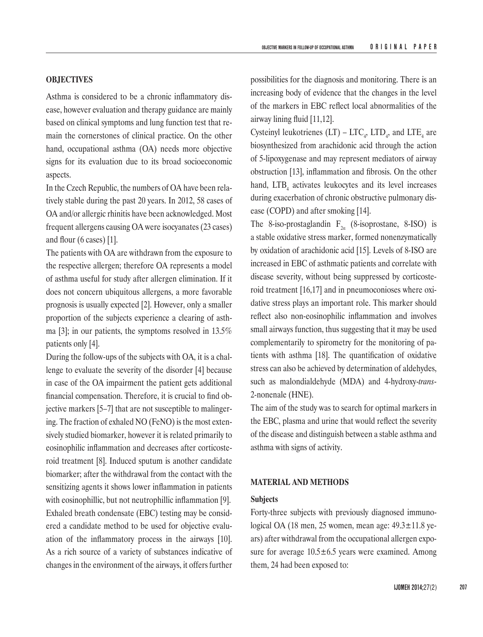# **OBJECTIVES**

Asthma is considered to be a chronic inflammatory disease, however evaluation and therapy guidance are mainly based on clinical symptoms and lung function test that remain the cornerstones of clinical practice. On the other hand, occupational asthma (OA) needs more objective signs for its evaluation due to its broad socioeconomic aspects.

In the Czech Republic, the numbers of OA have been relatively stable during the past 20 years. In 2012, 58 cases of OA and/or allergic rhinitis have been acknowledged. Most frequent allergens causing OA were isocyanates (23 cases) and flour (6 cases) [1].

The patients with OA are withdrawn from the exposure to the respective allergen; therefore OA represents a model of asthma useful for study after allergen elimination. If it does not concern ubiquitous allergens, a more favorable prognosis is usually expected [2]. However, only a smaller proportion of the subjects experience a clearing of asthma [3]; in our patients, the symptoms resolved in 13.5% patients only [4].

During the follow-ups of the subjects with OA, it is a challenge to evaluate the severity of the disorder [4] because in case of the OA impairment the patient gets additional financial compensation. Therefore, it is crucial to find objective markers [5–7] that are not susceptible to malingering. The fraction of exhaled NO (FeNO) is the most extensively studied biomarker, however it is related primarily to eosinophilic inflammation and decreases after corticosteroid treatment [8]. Induced sputum is another candidate biomarker; after the withdrawal from the contact with the sensitizing agents it shows lower inflammation in patients with eosinophillic, but not neutrophillic inflammation [9]. Exhaled breath condensate (EBC) testing may be considered a candidate method to be used for objective evaluation of the inflammatory process in the airways [10]. As a rich source of a variety of substances indicative of changes in the environment of the airways, it offers further possibilities for the diagnosis and monitoring. There is an increasing body of evidence that the changes in the level of the markers in EBC reflect local abnormalities of the airway lining fluid [11,12].

Cysteinyl leukotrienes  $(LT) - LTC_{4}$ ,  $LTD_{4}$ , and  $LTE_{4}$  are biosynthesized from arachidonic acid through the action of 5-lipoxygenase and may represent mediators of airway obstruction [13], inflammation and fibrosis. On the other hand,  $LTB_4$  activates leukocytes and its level increases during exacerbation of chronic obstructive pulmonary disease (COPD) and after smoking [14].

The 8-iso-prostaglandin  $F_{2\alpha}$  (8-isoprostane, 8-ISO) is a stable oxidative stress marker, formed nonenzymatically by oxidation of arachidonic acid [15]. Levels of 8-ISO are increased in EBC of asthmatic patients and correlate with disease severity, without being suppressed by corticosteroid treatment [16,17] and in pneumoconioses where oxidative stress plays an important role. This marker should reflect also non-eosinophilic inflammation and involves small airways function, thus suggesting that it may be used complementarily to spirometry for the monitoring of patients with asthma [18]. The quantification of oxidative stress can also be achieved by determination of aldehydes, such as malondialdehyde (MDA) and 4-hydroxy-*trans*-2-nonenale (HNE).

The aim of the study was to search for optimal markers in the EBC, plasma and urine that would reflect the severity of the disease and distinguish between a stable asthma and asthma with signs of activity.

#### **MATERIAL AND METHODS**

#### **Subjects**

Forty-three subjects with previously diagnosed immunological OA (18 men, 25 women, mean age:  $49.3 \pm 11.8$  years) after withdrawal from the occupational allergen exposure for average  $10.5\pm6.5$  years were examined. Among them, 24 had been exposed to: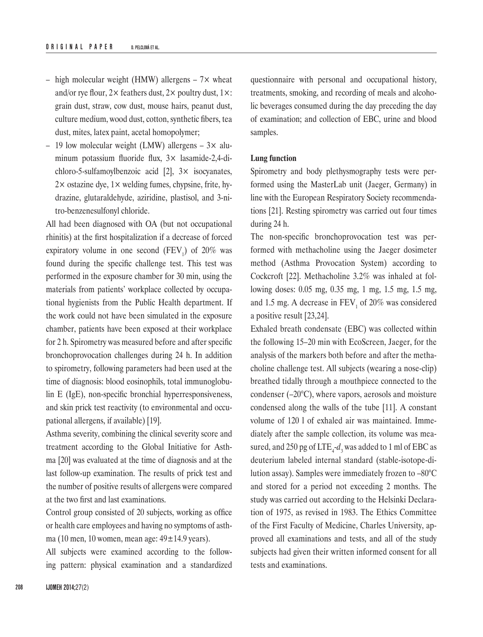- high molecular weight (HMW) allergens  $7x$  wheat and/or rye flour,  $2 \times$  feathers dust,  $2 \times$  poultry dust,  $1 \times$ : grain dust, straw, cow dust, mouse hairs, peanut dust, culture medium, wood dust, cotton, synthetic fibers, tea dust, mites, latex paint, acetal homopolymer;
- 19 low molecular weight (LMW) allergens 3× aluminum potassium fluoride flux, 3× lasamide-2,4-dichloro-5-sulfamoylbenzoic acid [2], 3× isocyanates,  $2\times$  ostazine dye,  $1\times$  welding fumes, chypsine, frite, hydrazine, glutaraldehyde, aziridine, plastisol, and 3-nitro-benzenesulfonyl chloride.

All had been diagnosed with OA (but not occupational rhinitis) at the first hospitalization if a decrease of forced expiratory volume in one second  $(FEV_1)$  of 20% was found during the specific challenge test. This test was performed in the exposure chamber for 30 min, using the materials from patients' workplace collected by occupational hygienists from the Public Health department. If the work could not have been simulated in the exposure chamber, patients have been exposed at their workplace for 2 h. Spirometry was measured before and after specific bronchoprovocation challenges during 24 h. In addition to spirometry, following parameters had been used at the time of diagnosis: blood eosinophils, total immunoglobulin E (IgE), non-specific bronchial hyperresponsiveness, and skin prick test reactivity (to environmental and occupational allergens, if available) [19].

Asthma severity, combining the clinical severity score and treatment according to the Global Initiative for Asthma [20] was evaluated at the time of diagnosis and at the last follow-up examination. The results of prick test and the number of positive results of allergens were compared at the two first and last examinations.

Control group consisted of 20 subjects, working as office or health care employees and having no symptoms of asthma (10 men, 10 women, mean age:  $49 \pm 14.9$  years).

All subjects were examined according to the following pattern: physical examination and a standardized questionnaire with personal and occupational history, treatments, smoking, and recording of meals and alcoholic beverages consumed during the day preceding the day of examination; and collection of EBC, urine and blood samples.

### **Lung function**

Spirometry and body plethysmography tests were performed using the MasterLab unit (Jaeger, Germany) in line with the European Respiratory Society recommendations [21]. Resting spirometry was carried out four times during 24 h.

The non-specific bronchoprovocation test was performed with methacholine using the Jaeger dosimeter method (Asthma Provocation System) according to Cockcroft [22]. Methacholine 3.2% was inhaled at following doses: 0.05 mg, 0.35 mg, 1 mg, 1.5 mg, 1.5 mg, and 1.5 mg. A decrease in  $FEV_1$  of 20% was considered a positive result [23,24].

Exhaled breath condensate (EBC) was collected within the following 15–20 min with EcoScreen, Jaeger, for the analysis of the markers both before and after the methacholine challenge test. All subjects (wearing a nose-clip) breathed tidally through a mouthpiece connected to the condenser (–20°C), where vapors, aerosols and moisture condensed along the walls of the tube [11]. A constant volume of 120 l of exhaled air was maintained. Immediately after the sample collection, its volume was measured, and 250 pg of  $\text{LTE}_4\text{-}d_3$  was added to 1 ml of EBC as deuterium labeled internal standard (stable-isotope-dilution assay). Samples were immediately frozen to –80°C and stored for a period not exceeding 2 months. The study was carried out according to the Helsinki Declaration of 1975, as revised in 1983. The Ethics Committee of the First Faculty of Medicine, Charles University, approved all examinations and tests, and all of the study subjects had given their written informed consent for all tests and examinations.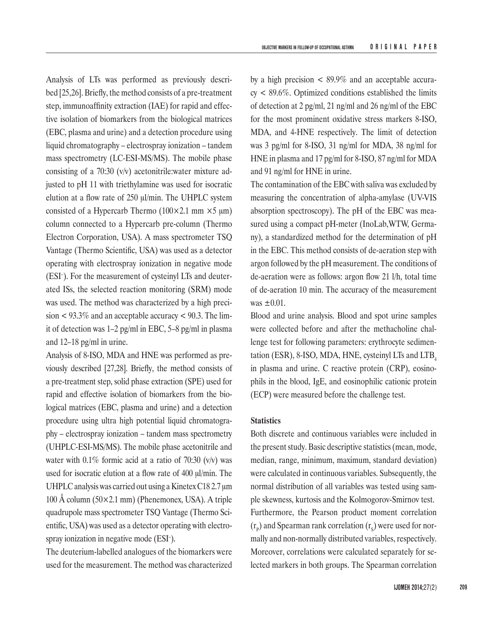Analysis of LTs was performed as previously described [25,26]. Briefly, the method consists of a pre-treatment step, immunoaffinity extraction (IAE) for rapid and effective isolation of biomarkers from the biological matrices (EBC, plasma and urine) and a detection procedure using liquid chromatography – electrospray ionization – tandem mass spectrometry (LC-ESI-MS/MS). The mobile phase consisting of a 70:30 (v/v) acetonitrile:water mixture adjusted to pH 11 with triethylamine was used for isocratic elution at a flow rate of 250 μl/min. The UHPLC system consisted of a Hypercarb Thermo  $(100 \times 2.1 \text{ mm} \times 5 \text{ \mu m})$ column connected to a Hypercarb pre-column (Thermo Electron Corporation, USA). A mass spectrometer TSQ Vantage (Thermo Scientific, USA) was used as a detector operating with electrospray ionization in negative mode (ESI– ). For the measurement of cysteinyl LTs and deuterated ISs, the selected reaction monitoring (SRM) mode was used. The method was characterized by a high precision  $\lt$  93.3% and an acceptable accuracy  $\lt$  90.3. The limit of detection was 1–2 pg/ml in EBC, 5–8 pg/ml in plasma and 12–18 pg/ml in urine.

Analysis of 8-ISO, MDA and HNE was performed as previously described [27,28]. Briefly, the method consists of a pre-treatment step, solid phase extraction (SPE) used for rapid and effective isolation of biomarkers from the biological matrices (EBC, plasma and urine) and a detection procedure using ultra high potential liquid chromatography – electrospray ionization – tandem mass spectrometry (UHPLC-ESI-MS/MS). The mobile phase acetonitrile and water with  $0.1\%$  formic acid at a ratio of 70:30 (v/v) was used for isocratic elution at a flow rate of 400 μl/min. The UHPLC analysis was carried out using a Kinetex C18 2.7 μm 100 Å column (50×2.1 mm) (Phenemonex, USA). A triple quadrupole mass spectrometer TSQ Vantage (Thermo Scientific, USA) was used as a detector operating with electrospray ionization in negative mode (ESI– ).

The deuterium-labelled analogues of the biomarkers were used for the measurement. The method was characterized by a high precision  $\lt$  89.9% and an acceptable accura $cy < 89.6\%$ . Optimized conditions established the limits of detection at 2 pg/ml, 21 ng/ml and 26 ng/ml of the EBC for the most prominent oxidative stress markers 8-ISO, MDA, and 4-HNE respectively. The limit of detection was 3 pg/ml for 8-ISO, 31 ng/ml for MDA, 38 ng/ml for HNE in plasma and 17 pg/ml for 8-ISO, 87 ng/ml for MDA and 91 ng/ml for HNE in urine.

The contamination of the EBC with saliva was excluded by measuring the concentration of alpha-amylase (UV-VIS absorption spectroscopy). The pH of the EBC was measured using a compact pH-meter (InoLab,WTW, Germany), a standardized method for the determination of pH in the EBC. This method consists of de-aeration step with argon followed by the pH measurement. The conditions of de-aeration were as follows: argon flow 21 l/h, total time of de-aeration 10 min. The accuracy of the measurement was  $\pm 0.01$ .

Blood and urine analysis. Blood and spot urine samples were collected before and after the methacholine challenge test for following parameters: erythrocyte sedimentation (ESR), 8-ISO, MDA, HNE, cysteinyl LTs and LTB in plasma and urine. C reactive protein (CRP), eosinophils in the blood, IgE, and eosinophilic cationic protein (ECP) were measured before the challenge test.

### **Statistics**

Both discrete and continuous variables were included in the present study. Basic descriptive statistics (mean, mode, median, range, minimum, maximum, standard deviation) were calculated in continuous variables. Subsequently, the normal distribution of all variables was tested using sample skewness, kurtosis and the Kolmogorov-Smirnov test. Furthermore, the Pearson product moment correlation  $(r_{\rm p})$  and Spearman rank correlation  $(r_{\rm s})$  were used for normally and non-normally distributed variables, respectively. Moreover, correlations were calculated separately for selected markers in both groups. The Spearman correlation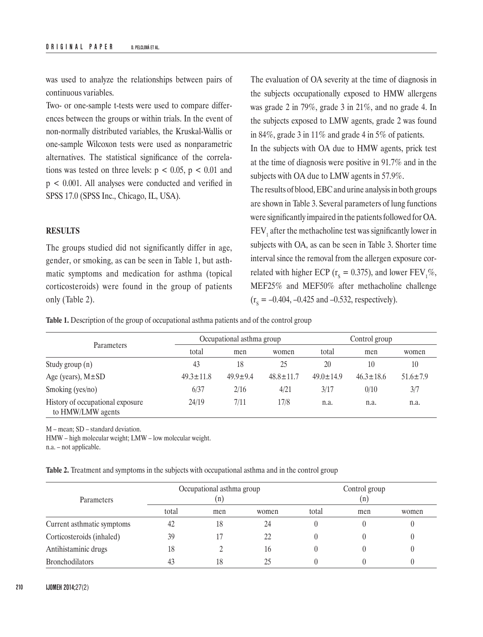was used to analyze the relationships between pairs of continuous variables.

Two- or one-sample t-tests were used to compare differences between the groups or within trials. In the event of non-normally distributed variables, the Kruskal-Wallis or one-sample Wilcoxon tests were used as nonparametric alternatives. The statistical significance of the correlations was tested on three levels:  $p < 0.05$ ,  $p < 0.01$  and p < 0.001. All analyses were conducted and verified in SPSS 17.0 (SPSS Inc., Chicago, IL, USA).

#### **RESULTS**

The groups studied did not significantly differ in age, gender, or smoking, as can be seen in Table 1, but asthmatic symptoms and medication for asthma (topical corticosteroids) were found in the group of patients only (Table 2).

The evaluation of OA severity at the time of diagnosis in the subjects occupationally exposed to HMW allergens was grade 2 in 79%, grade 3 in 21%, and no grade 4. In the subjects exposed to LMW agents, grade 2 was found in 84%, grade 3 in 11% and grade 4 in 5% of patients.

In the subjects with OA due to HMW agents, prick test at the time of diagnosis were positive in 91.7% and in the subjects with OA due to LMW agents in 57.9%.

The results of blood, EBC and urine analysis in both groups are shown in Table 3. Several parameters of lung functions were significantly impaired in the patients followed for OA.  $FEV<sub>1</sub>$  after the methacholine test was significantly lower in subjects with OA, as can be seen in Table 3. Shorter time interval since the removal from the allergen exposure correlated with higher ECP ( $r_s = 0.375$ ), and lower FEV<sub>1</sub>%, MEF25% and MEF50% after methacholine challenge  $(r<sub>s</sub> = -0.404, -0.425$  and  $-0.532$ , respectively).

**Table 1.** Description of the group of occupational asthma patients and of the control group

|                                                       |                 | Occupational asthma group |                 | Control group   |                                                                    |                |
|-------------------------------------------------------|-----------------|---------------------------|-----------------|-----------------|--------------------------------------------------------------------|----------------|
| <b>Parameters</b>                                     | total           | men                       | women           | total           | men<br>20<br>10<br>$46.3 \pm 18.6$<br>3/17<br>0/10<br>n.a.<br>n.a. | women          |
| Study group $(n)$                                     | 43              | 18                        | 25              |                 |                                                                    | 10             |
| Age (years), $M \pm SD$                               | $49.3 \pm 11.8$ | $49.9 \pm 9.4$            | $48.8 \pm 11.7$ | $49.0 \pm 14.9$ |                                                                    | $51.6 \pm 7.9$ |
| Smoking (yes/no)                                      | 6/37            | 2/16                      | 4/21            |                 |                                                                    | 3/7            |
| History of occupational exposure<br>to HMW/LMW agents | 24/19           | 7/11                      | 17/8            |                 |                                                                    | n.a.           |

M – mean; SD – standard deviation.

HMW – high molecular weight; LMW – low molecular weight.

n.a. – not applicable.

**Table 2.** Treatment and symptoms in the subjects with occupational asthma and in the control group

| Parameters                 | Occupational asthma group<br>n' |     |       | Control group<br>(n) |     |       |
|----------------------------|---------------------------------|-----|-------|----------------------|-----|-------|
|                            | total                           | men | women | total                | men | women |
| Current asthmatic symptoms | 42                              | 18  | 24    |                      |     |       |
| Corticosteroids (inhaled)  | 39                              |     | 22    |                      |     |       |
| Antihistaminic drugs       | 18                              |     | 16    |                      |     |       |
| <b>Bronchodilators</b>     | 43                              | 18  | 25    |                      |     |       |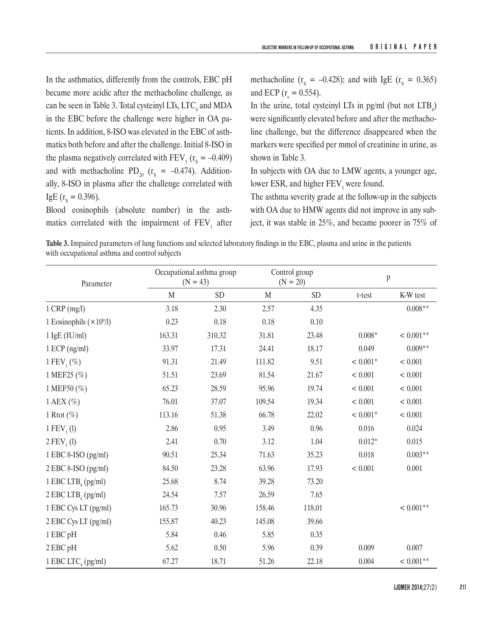In the asthmatics, differently from the controls, EBC pH became more acidic after the methacholine challenge*,* as can be seen in Table 3. Total cysteinyl LTs,  $\mathrm{LTC}_4$  and MDA in the EBC before the challenge were higher in OA patients. In addition, 8-ISO was elevated in the EBC of asthmatics both before and after the challenge. Initial 8-ISO in the plasma negatively correlated with  $FEV_1$  ( $r_s = -0.409$ ) and with methacholine PD<sub>20</sub> ( $r_s = -0.474$ ). Additionally, 8-ISO in plasma after the challenge correlated with IgE ( $r_s = 0.396$ ).

Blood eosinophils (absolute number) in the asthmatics correlated with the impairment of  $\text{FEV}_1$  after methacholine ( $r_s = -0.428$ ); and with IgE ( $r_s = 0.365$ ) and ECP ( $r_s = 0.554$ ).

In the urine, total cysteinyl LIs in pg/ml (but not  $LTB_4$ ) were significantly elevated before and after the methacholine challenge, but the difference disappeared when the markers were specified per mmol of creatinine in urine, as shown in Table 3.

In subjects with OA due to LMW agents, a younger age, lower ESR, and higher  $FEV_1$  were found.

The asthma severity grade at the follow-up in the subjects with OA due to HMW agents did not improve in any subject, it was stable in 25%, and became poorer in 75% of

**Table 3.** Impaired parameters of lung functions and selected laboratory findings in the EBC, plasma and urine in the patients with occupational asthma and control subjects

| Parameter                        |        | Occupational asthma group<br>$(N = 43)$ |        | Control group<br>$(N = 20)$ |            | p           |  |
|----------------------------------|--------|-----------------------------------------|--------|-----------------------------|------------|-------------|--|
|                                  | M      | <b>SD</b>                               | M      | <b>SD</b>                   | t-test     | K-W test    |  |
| $1$ CRP (mg/l)                   | 3.18   | 2.30                                    | 2.57   | 4.35                        |            | $0.008**$   |  |
| 1 Eosinophils $(\times 10^9/1)$  | 0.23   | 0.18                                    | 0.18   | 0.10                        |            |             |  |
| $1$ IgE (IU/ml)                  | 163.31 | 310.32                                  | 31.81  | 23.48                       | $0.008*$   | $< 0.001**$ |  |
| $1 ECP$ (ng/ml)                  | 33.97  | 17.31                                   | 24.41  | 18.17                       | 0.049      | $0.009**$   |  |
| 1 FEV <sub>1</sub> $(\%)$        | 91.31  | 21.49                                   | 111.82 | 9.51                        | $< 0.001*$ | < 0.001     |  |
| 1 MEF25 (%)                      | 51.51  | 23.69                                   | 81.54  | 21.67                       | < 0.001    | < 0.001     |  |
| 1 MEF50 (%)                      | 65.23  | 28.59                                   | 95.96  | 19.74                       | < 0.001    | < 0.001     |  |
| 1 AEX $(\% )$                    | 76.01  | 37.07                                   | 109.54 | 19.34                       | < 0.001    | < 0.001     |  |
| 1 Rtot $(\%)$                    | 113.16 | 51.38                                   | 66.78  | 22.02                       | $< 0.001*$ | < 0.001     |  |
| 1 $FEV_1(l)$                     | 2.86   | 0.95                                    | 3.49   | 0.96                        | 0.016      | 0.024       |  |
| $2 FEV_{1} (1)$                  | 2.41   | 0.70                                    | 3.12   | 1.04                        | $0.012*$   | 0.015       |  |
| 1 EBC 8-ISO (pg/ml)              | 90.51  | 25.34                                   | 71.63  | 35.23                       | 0.018      | $0.003**$   |  |
| 2 EBC 8-ISO (pg/ml)              | 84.50  | 23.28                                   | 63.96  | 17.93                       | < 0.001    | 0.001       |  |
| 1 EBC LTB <sub>4</sub> (pg/ml)   | 25.68  | 8.74                                    | 39.28  | 73.20                       |            |             |  |
| $2$ EBC LTB <sub>4</sub> (pg/ml) | 24.54  | 7.57                                    | 26.59  | 7.65                        |            |             |  |
| 1 EBC Cys LT (pg/ml)             | 165.73 | 30.96                                   | 158.46 | 118.01                      |            | $< 0.001**$ |  |
| 2 EBC Cys LT (pg/ml)             | 155.87 | 40.23                                   | 145.08 | 39.66                       |            |             |  |
| 1 EBC pH                         | 5.84   | 0.46                                    | 5.85   | 0.35                        |            |             |  |
| 2 EBC pH                         | 5.62   | 0.50                                    | 5.96   | 0.39                        | 0.009      | 0.007       |  |
| 1 EBC LTC <sub>4</sub> (pg/ml)   | 67.27  | 18.71                                   | 51.26  | 22.18                       | 0.004      | $< 0.001**$ |  |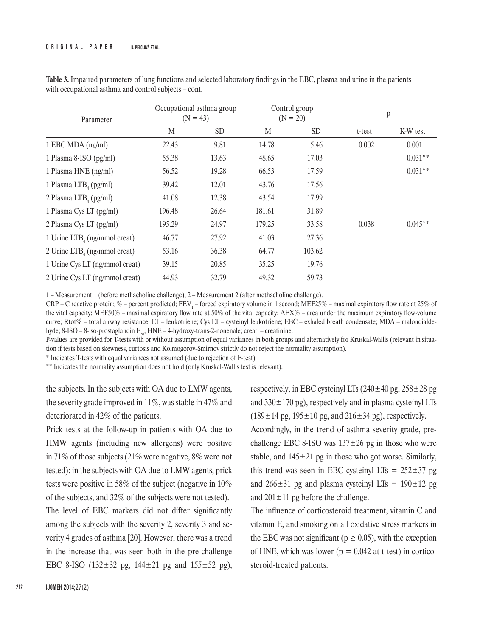| Parameter                                | Occupational asthma group<br>$(N = 43)$ |           | Control group<br>$(N = 20)$ |           | p      |           |
|------------------------------------------|-----------------------------------------|-----------|-----------------------------|-----------|--------|-----------|
|                                          | M                                       | <b>SD</b> | M                           | <b>SD</b> | t-test | K-W test  |
| 1 EBC MDA (ng/ml)                        | 22.43                                   | 9.81      | 14.78                       | 5.46      | 0.002  | 0.001     |
| 1 Plasma 8-ISO (pg/ml)                   | 55.38                                   | 13.63     | 48.65                       | 17.03     |        | $0.031**$ |
| 1 Plasma HNE (ng/ml)                     | 56.52                                   | 19.28     | 66.53                       | 17.59     |        | $0.031**$ |
| 1 Plasma LTB <sub>4</sub> (pg/ml)        | 39.42                                   | 12.01     | 43.76                       | 17.56     |        |           |
| 2 Plasma LTB <sub>4</sub> (pg/ml)        | 41.08                                   | 12.38     | 43.54                       | 17.99     |        |           |
| 1 Plasma Cys LT (pg/ml)                  | 196.48                                  | 26.64     | 181.61                      | 31.89     |        |           |
| 2 Plasma Cys LT (pg/ml)                  | 195.29                                  | 24.97     | 179.25                      | 33.58     | 0.038  | $0.045**$ |
| 1 Urine $LTB4$ (ng/mmol creat)           | 46.77                                   | 27.92     | 41.03                       | 27.36     |        |           |
| 2 Urine LTB <sub>4</sub> (ng/mmol creat) | 53.16                                   | 36.38     | 64.77                       | 103.62    |        |           |
| 1 Urine Cys LT (ng/mmol creat)           | 39.15                                   | 20.85     | 35.25                       | 19.76     |        |           |
| 2 Urine Cys LT (ng/mmol creat)           | 44.93                                   | 32.79     | 49.32                       | 59.73     |        |           |

**Table 3.** Impaired parameters of lung functions and selected laboratory findings in the EBC, plasma and urine in the patients with occupational asthma and control subjects – cont.

1 – Measurement 1 (before methacholine challenge), 2 – Measurement 2 (after methacholine challenge).

 $CRP - C$  reactive protein; % – percent predicted; FEV<sub>1</sub> – forced expiratory volume in 1 second; MEF25% – maximal expiratory flow rate at 25% of the vital capacity; MEF50% – maximal expiratory flow rate at 50% of the vital capacity; AEX% – area under the maximum expiratory flow-volume curve; Rtot% – total airway resistance; LT – leukotriene; Cys LT – cysteinyl leukotriene; EBC – exhaled breath condensate; MDA – malondialdehyde; 8-ISO – 8-iso-prostaglandin  $F_{2a}$ ; HNE – 4-hydroxy-trans-2-nonenale; creat. – creatinine.

P-values are provided for T-tests with or without assumption of equal variances in both groups and alternatively for Kruskal-Wallis (relevant in situation if tests based on skewness, curtosis and Kolmogorov-Smirnov strictly do not reject the normality assumption).

\* Indicates T-tests with equal variances not assumed (due to rejection of F-test).

\*\* Indicates the normality assumption does not hold (only Kruskal-Wallis test is relevant).

the subjects. In the subjects with OA due to LMW agents, the severity grade improved in 11%, was stable in 47% and deteriorated in 42% of the patients.

Prick tests at the follow-up in patients with OA due to HMW agents (including new allergens) were positive in 71% of those subjects (21% were negative, 8% were not tested); in the subjects with OA due to LMW agents, prick tests were positive in 58% of the subject (negative in 10% of the subjects, and 32% of the subjects were not tested).

The level of EBC markers did not differ significantly among the subjects with the severity 2, severity 3 and severity 4 grades of asthma [20]. However, there was a trend in the increase that was seen both in the pre-challenge EBC 8-ISO (132±32 pg, 144±21 pg and 155±52 pg),

respectively, in EBC cysteinyl LTs  $(240 \pm 40 \text{ pg}, 258 \pm 28 \text{ pg})$ and  $330\pm170$  pg), respectively and in plasma cysteinyl LTs  $(189 \pm 14 \text{ pg}, 195 \pm 10 \text{ pg}, \text{ and } 216 \pm 34 \text{ pg})$ , respectively.

Accordingly, in the trend of asthma severity grade, prechallenge EBC 8-ISO was  $137 \pm 26$  pg in those who were stable, and  $145\pm21$  pg in those who got worse. Similarly, this trend was seen in EBC cysteinyl LTs =  $252\pm37$  pg and  $266 \pm 31$  pg and plasma cysteinyl LTs =  $190 \pm 12$  pg and  $201 \pm 11$  pg before the challenge.

The influence of corticosteroid treatment, vitamin C and vitamin E, and smoking on all oxidative stress markers in the EBC was not significant ( $p \ge 0.05$ ), with the exception of HNE, which was lower ( $p = 0.042$  at t-test) in corticosteroid-treated patients.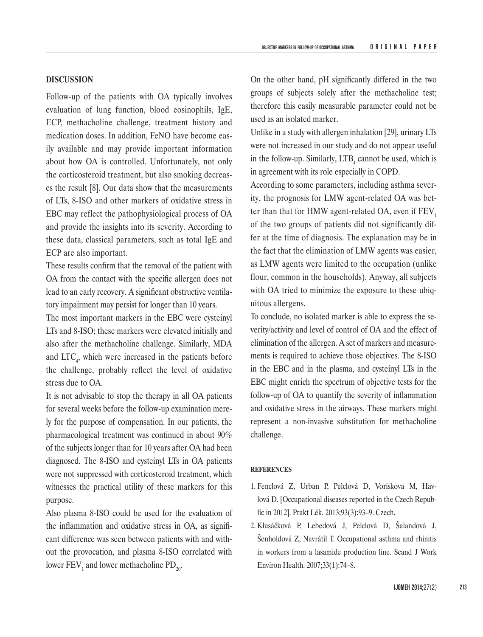# **DISCUSSION**

Follow-up of the patients with OA typically involves evaluation of lung function, blood eosinophils, IgE, ECP, methacholine challenge, treatment history and medication doses. In addition, FeNO have become easily available and may provide important information about how OA is controlled. Unfortunately, not only the corticosteroid treatment, but also smoking decreases the result [8]. Our data show that the measurements of LTs, 8-ISO and other markers of oxidative stress in EBC may reflect the pathophysiological process of OA and provide the insights into its severity. According to these data, classical parameters, such as total IgE and ECP are also important.

These results confirm that the removal of the patient with OA from the contact with the specific allergen does not lead to an early recovery. A significant obstructive ventilatory impairment may persist for longer than 10 years.

The most important markers in the EBC were cysteinyl LTs and 8-ISO; these markers were elevated initially and also after the methacholine challenge. Similarly, MDA and  $\text{LTC}_4$ , which were increased in the patients before the challenge, probably reflect the level of oxidative stress due to OA.

It is not advisable to stop the therapy in all OA patients for several weeks before the follow-up examination merely for the purpose of compensation. In our patients, the pharmacological treatment was continued in about 90% of the subjects longer than for 10 years after OA had been diagnosed. The 8-ISO and cysteinyl LTs in OA patients were not suppressed with corticosteroid treatment, which witnesses the practical utility of these markers for this purpose.

Also plasma 8-ISO could be used for the evaluation of the inflammation and oxidative stress in OA, as significant difference was seen between patients with and without the provocation, and plasma 8-ISO correlated with lower  $FEV_1$  and lower methacholine  $PD_{20}$ .

On the other hand, pH significantly differed in the two groups of subjects solely after the methacholine test; therefore this easily measurable parameter could not be used as an isolated marker.

Unlike in a study with allergen inhalation [29], urinary LTs were not increased in our study and do not appear useful in the follow-up. Similarly,  $LTB_4$  cannot be used, which is in agreement with its role especially in COPD.

According to some parameters, including asthma severity, the prognosis for LMW agent-related OA was better than that for HMW agent-related OA, even if  $FEV<sub>1</sub>$ of the two groups of patients did not significantly differ at the time of diagnosis. The explanation may be in the fact that the elimination of LMW agents was easier, as LMW agents were limited to the occupation (unlike flour, common in the households). Anyway, all subjects with OA tried to minimize the exposure to these ubiquitous allergens.

To conclude, no isolated marker is able to express the severity/activity and level of control of OA and the effect of elimination of the allergen. A set of markers and measurements is required to achieve those objectives. The 8-ISO in the EBC and in the plasma, and cysteinyl LTs in the EBC might enrich the spectrum of objective tests for the follow-up of OA to quantify the severity of inflammation and oxidative stress in the airways. These markers might represent a non-invasive substitution for methacholine challenge.

#### **REFERENCES**

- 1. Fenclová Z, Urban P, Pelclová D, Voriskova M, Havlová D. [Occupational diseases reported in the Czech Republic in 2012]. Prakt Lék. 2013;93(3):93–9. Czech.
- 2.  Klusáčková P, Lebedová J, Pelclová D, Šalandová J, Šenholdová Z, Navrátil T. Occupational asthma and rhinitis in workers from a lasamide production line. Scand J Work Environ Health. 2007;33(1):74–8.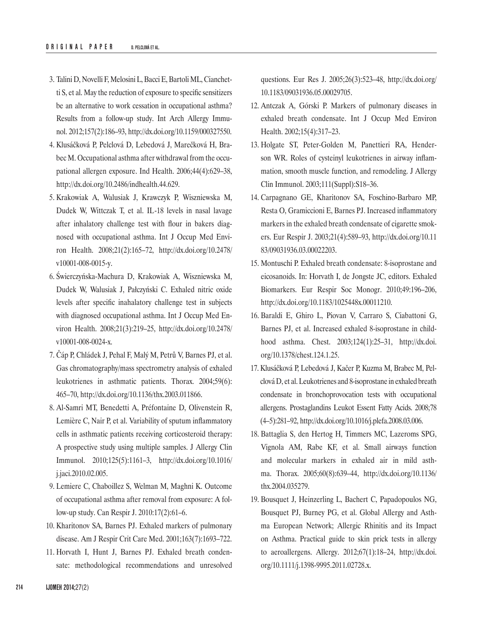- 3. Talini D, Novelli F, Melosini L, Bacci E, Bartoli ML, Cianchetti S, et al. May the reduction of exposure to specific sensitizers be an alternative to work cessation in occupational asthma? Results from a follow-up study. Int Arch Allergy Immunol. 2012;157(2):186–93, http://dx.doi.org/10.1159/000327550.
- 4.  Klusáčková P, Pelclová D, Lebedová J, Marečková H, Brabec M. Occupational asthma after withdrawal from the occupational allergen exposure. Ind Health. 2006;44(4):629–38, http://dx.doi.org/10.2486/indhealth.44.629.
- 5. Krakowiak A, Walusiak J, Krawczyk P, Wiszniewska M, Dudek W, Wittczak T, et al. IL-18 levels in nasal lavage after inhalatory challenge test with flour in bakers diagnosed with occupational asthma. Int J Occup Med Environ Health. 2008;21(2):165–72, http://dx.doi.org/10.2478/ v10001-008-0015-y.
- 6.  Świerczyńska-Machura D, Krakowiak A, Wiszniewska M, Dudek W, Walusiak J, Pałczyński C. Exhaled nitric oxide levels after specific inahalatory challenge test in subjects with diagnosed occupational asthma. Int J Occup Med Environ Health. 2008;21(3):219–25, http://dx.doi.org/10.2478/ v10001-008-0024-x.
- 7.  Čáp P, Chládek J, Pehal F, Malý M, Petrů V, Barnes PJ, et al. Gas chromatography/mass spectrometry analysis of exhaled leukotrienes in asthmatic patients. Thorax. 2004;59(6): 465–70, http://dx.doi.org/10.1136/thx.2003.011866.
- 8.  Al-Samri MT, Benedetti A, Préfontaine D, Olivenstein R, Lemière C, Nair P, et al. Variability of sputum inflammatory cells in asthmatic patients receiving corticosteroid therapy: A prospective study using multiple samples. J Allergy Clin Immunol. 2010;125(5):1161–3, http://dx.doi.org/10.1016/ j.jaci.2010.02.005.
- 9. Lemiere C, Chaboillez S, Welman M, Maghni K. Outcome of occupational asthma after removal from exposure: A follow-up study. Can Respir J. 2010:17(2):61–6.
- 10. Kharitonov SA, Barnes PJ. Exhaled markers of pulmonary disease. Am J Respir Crit Care Med. 2001;163(7):1693–722.
- 11. Horvath I, Hunt J, Barnes PJ. [Exhaled breath conden](http://apps.webofknowledge.com/full_record.do?product=WOS&search_mode=GeneralSearch&qid=22&SID=Y2K8fMME4aEG2OmkH52&page=12&doc=112&cacheurlFromRightClick=no)[sate: methodological recommendations and unresolved](http://apps.webofknowledge.com/full_record.do?product=WOS&search_mode=GeneralSearch&qid=22&SID=Y2K8fMME4aEG2OmkH52&page=12&doc=112&cacheurlFromRightClick=no)

[questions.](http://apps.webofknowledge.com/full_record.do?product=WOS&search_mode=GeneralSearch&qid=22&SID=Y2K8fMME4aEG2OmkH52&page=12&doc=112&cacheurlFromRightClick=no) Eur Res J. 2005;26(3):523–48, http://dx.doi.org/ 10.1183/09031936.05.00029705.

- 12. Antczak A, Górski P. Markers of pulmonary diseases in exhaled breath condensate. Int J Occup Med Environ Health. 2002;15(4):317–23.
- 13. Holgate ST, Peter-Golden M, Panettieri RA, Henderson WR. Roles of cysteinyl leukotrienes in airway inflammation, smooth muscle function, and remodeling. J Allergy Clin Immunol. 2003;111(Suppl):S18–36.
- 14. Carpagnano GE, Kharitonov SA, Foschino-Barbaro MP, Resta O, Gramiccioni E, Barnes PJ. Increased inflammatory markers in the exhaled breath condensate of cigarette smokers. Eur Respir J. 2003;21(4):589–93, http://dx.doi.org/10.11 83/09031936.03.00022203.
- 15. Montuschi P. Exhaled breath condensate: 8-isoprostane and eicosanoids. In: Horvath I, de Jongste JC, editors. Exhaled Biomarkers. [Eur Respir Soc Monogr.](C:\Documents and Settings\Owner\Local Settings\Documents and Settings\Praca\Dane aplikacji\Microsoft\Users\pelclova\AppData\Local\Temp\Eur Respir Soc Monogr) 2010;49:196–206, http://dx.doi.org/10.1183/1025448x.00011210.
- 16. Baraldi E, Ghiro L, Piovan V, Carraro S, Ciabattoni G, Barnes PJ, et al. Increased exhaled 8-isoprostane in childhood asthma. Chest. 2003;124(1):25–31, http://dx.doi. org/10.1378/chest.124.1.25.
- 17.  Klusáčková P, Lebedová J, Kačer P, Kuzma M, Brabec M, Pelclová D, et al. Leukotrienes and 8-isoprostane in exhaled breath condensate in bronchoprovocation tests with occupational allergens. Prostaglandins Leukot Essent Fatty Acids. 2008;78 (4–5):281–92, http://dx.doi.org/10.1016/j.plefa.2008.03.006.
- 18. Battaglia S, [den Hertog H](http://apps.webofknowledge.com/OneClickSearch.do?product=WOS&search_mode=OneClickSearch&colName=WOS&SID=Y2K8fMME4aEG2OmkH52&field=AU&value=den Hertog, H), [Timmers MC](http://apps.webofknowledge.com/DaisyOneClickSearch.do?product=WOS&search_mode=DaisyOneClickSearch&colName=WOS&SID=Y2K8fMME4aEG2OmkH52&author_name=Timmers, MC&dais_id=9318955), [Lazeroms](http://apps.webofknowledge.com/OneClickSearch.do?product=WOS&search_mode=OneClickSearch&colName=WOS&SID=Y2K8fMME4aEG2OmkH52&field=AU&value=Lazeroms, SPG) SPG, [Vignola AM,](http://apps.webofknowledge.com/DaisyOneClickSearch.do?product=WOS&search_mode=DaisyOneClickSearch&colName=WOS&SID=Y2K8fMME4aEG2OmkH52&author_name=Vignola, AM&dais_id=10028756) [Rabe KF](http://apps.webofknowledge.com/DaisyOneClickSearch.do?product=WOS&search_mode=DaisyOneClickSearch&colName=WOS&SID=Y2K8fMME4aEG2OmkH52&author_name=Rabe, KF&dais_id=13593730), et al. Small airways function and molecular markers in exhaled air in mild asthma. Thorax. 2005;60(8):639–44, http://dx.doi.org/10.1136/ thx.2004.035279.
- 19. Bousquet J, Heinzerling L, Bachert C, Papadopoulos NG, Bousquet PJ, Burney PG, et al. Global Allergy and Asthma European Network; Allergic Rhinitis and its Impact on Asthma. Practical guide to skin prick tests in allergy to aeroallergens. Allergy. 2012;67(1):18–24, http://dx.doi. org/10.1111/j.1398-9995.2011.02728.x.